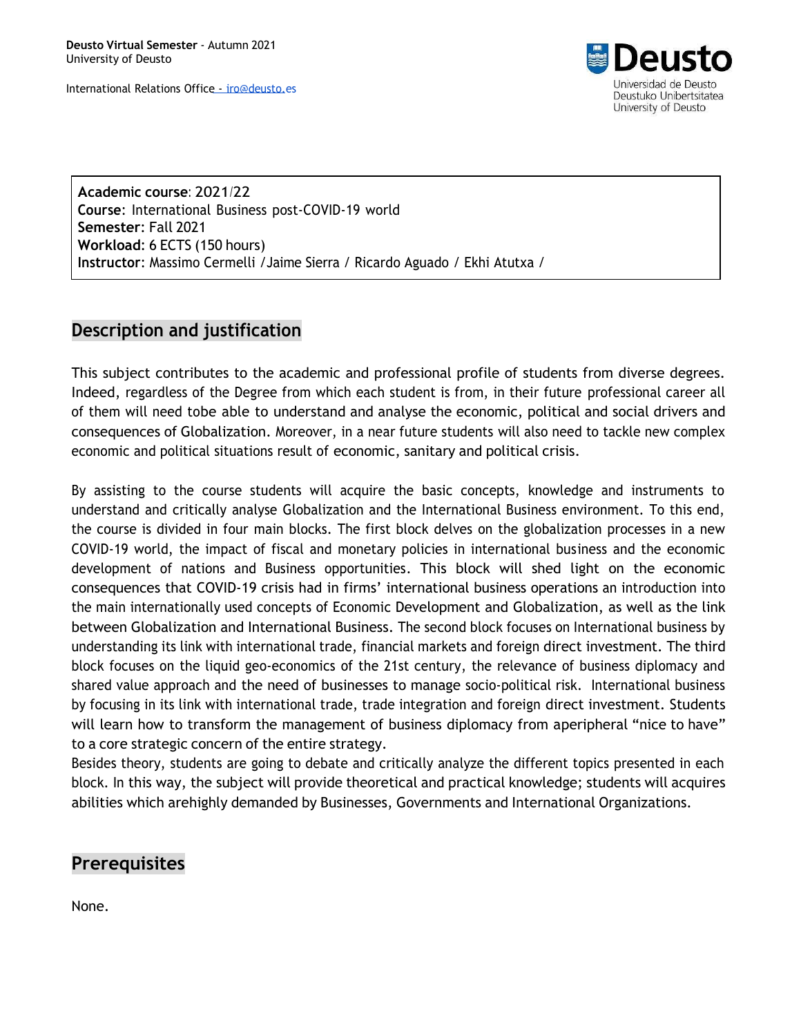

**Academic course**: 2021/22 **Course**: International Business post-COVID-19 world **Semester**: Fall 2021 **Workload**: 6 ECTS (150 hours) **Instructor**: Massimo Cermelli /Jaime Sierra / Ricardo Aguado / Ekhi Atutxa /

## **Description and justification**

This subject contributes to the academic and professional profile of students from diverse degrees. Indeed, regardless of the Degree from which each student is from, in their future professional career all of them will need tobe able to understand and analyse the economic, political and social drivers and consequences of Globalization. Moreover, in a near future students will also need to tackle new complex economic and political situations result of economic, sanitary and political crisis.

By assisting to the course students will acquire the basic concepts, knowledge and instruments to understand and critically analyse Globalization and the International Business environment. To this end, the course is divided in four main blocks. The first block delves on the globalization processes in a new COVID-19 world, the impact of fiscal and monetary policies in international business and the economic development of nations and Business opportunities. This block will shed light on the economic consequences that COVID-19 crisis had in firms' international business operations an introduction into the main internationally used concepts of Economic Development and Globalization, as well as the link between Globalization and International Business. The second block focuses on International business by understanding its link with international trade, financial markets and foreign direct investment. The third block focuses on the liquid geo-economics of the 21st century, the relevance of business diplomacy and shared value approach and the need of businesses to manage socio-political risk. International business by focusing in its link with international trade, trade integration and foreign direct investment. Students will learn how to transform the management of business diplomacy from aperipheral "nice to have" to a core strategic concern of the entire strategy.

Besides theory, students are going to debate and critically analyze the different topics presented in each block. In this way, the subject will provide theoretical and practical knowledge; students will acquires abilities which arehighly demanded by Businesses, Governments and International Organizations.

## **Prerequisites**

None.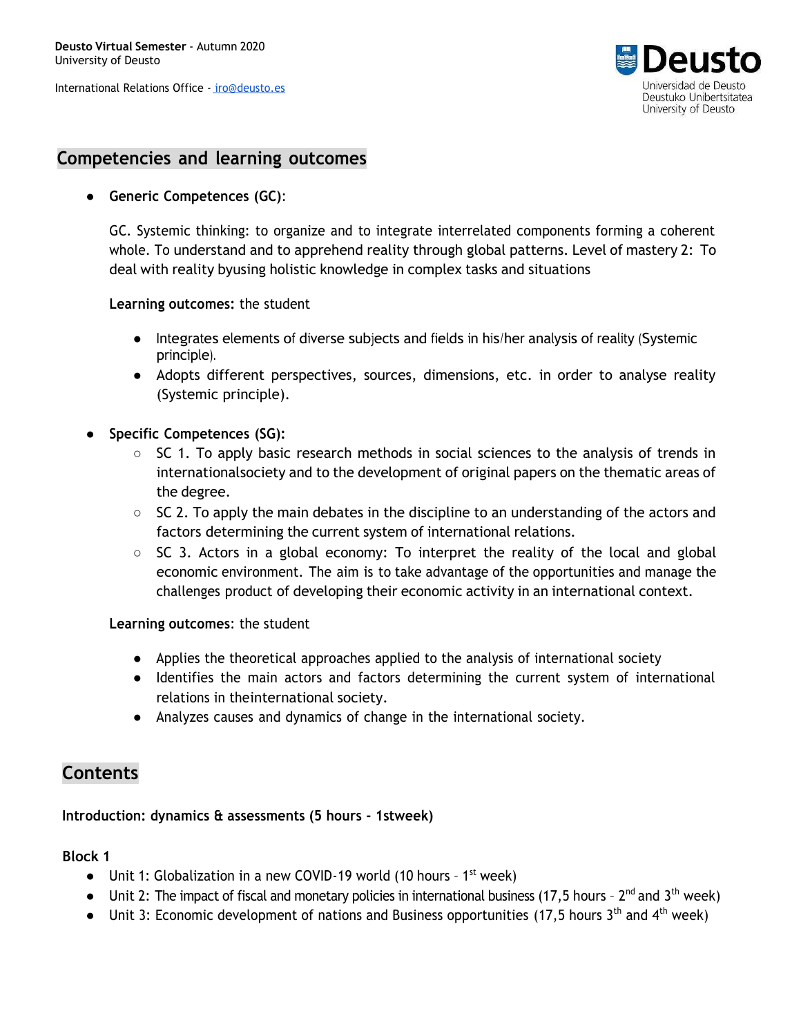

### **Competencies and learning outcomes**

#### ● **Generic Competences (GC)**:

GC. Systemic thinking: to organize and to integrate interrelated components forming a coherent whole. To understand and to apprehend reality through global patterns. Level of mastery 2: To deal with reality byusing holistic knowledge in complex tasks and situations

**Learning outcomes:** the student

- Integrates elements of diverse subjects and fields in his/her analysis of reality (Systemic principle).
- Adopts different perspectives, sources, dimensions, etc. in order to analyse reality (Systemic principle).
- **● Specific Competences (SG):**
	- SC 1. To apply basic research methods in social sciences to the analysis of trends in internationalsociety and to the development of original papers on the thematic areas of the degree.
	- $\circ$  SC 2. To apply the main debates in the discipline to an understanding of the actors and factors determining the current system of international relations.
	- $\circ$  SC 3. Actors in a global economy: To interpret the reality of the local and global economic environment. The aim is to take advantage of the opportunities and manage the challenges product of developing their economic activity in an international context.

**Learning outcomes**: the student

- Applies the theoretical approaches applied to the analysis of international society
- Identifies the main actors and factors determining the current system of international relations in theinternational society.
- Analyzes causes and dynamics of change in the international society.

# **Contents**

#### **Introduction: dynamics & assessments (5 hours - 1stweek)**

#### **Block 1**

- $\bullet$  Unit 1: Globalization in a new COVID-19 world (10 hours 1<sup>st</sup> week)
- $\bullet$  Unit 2: The impact of fiscal and monetary policies in international business (17,5 hours 2<sup>nd</sup> and 3<sup>th</sup> week)
- Unit 3: Economic development of nations and Business opportunities (17,5 hours 3<sup>th</sup> and 4<sup>th</sup> week)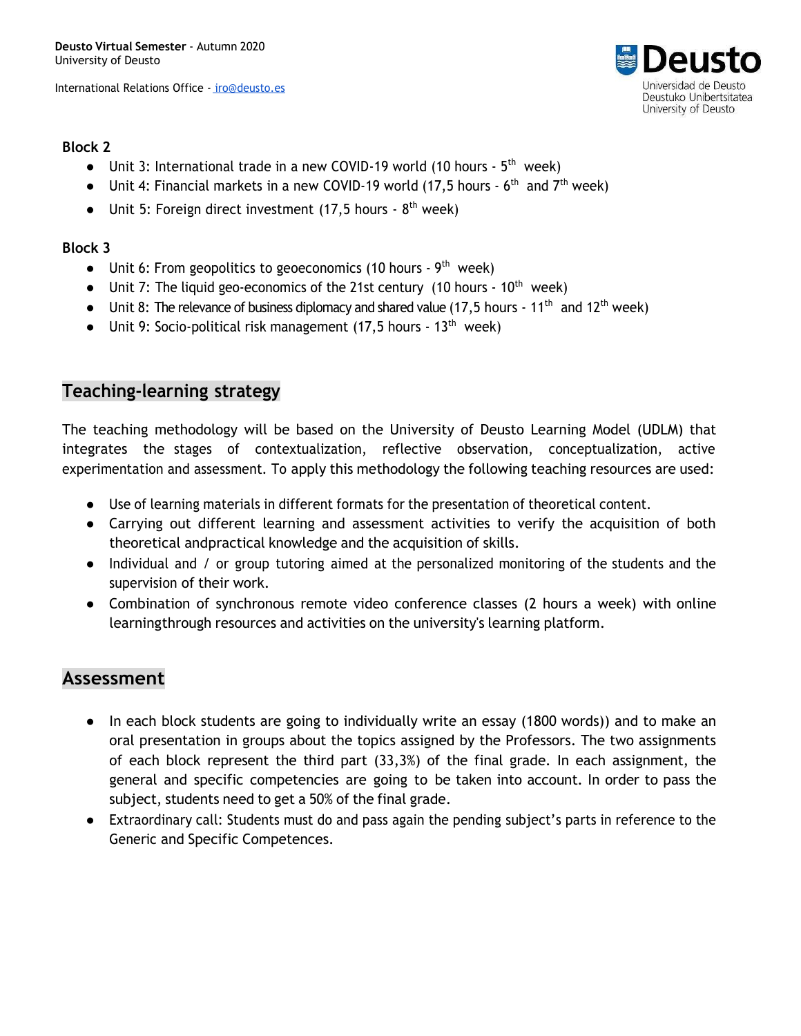

### **Block 2**

- Unit 3: International trade in a new COVID-19 world (10 hours  $5<sup>th</sup>$  week)
- Unit 4: Financial markets in a new COVID-19 world (17,5 hours  $6<sup>th</sup>$  and  $7<sup>th</sup>$  week)
- $\bullet$  Unit 5: Foreign direct investment (17,5 hours 8<sup>th</sup> week)

### **Block 3**

- $\bullet$  Unit 6: From geopolitics to geoeconomics (10 hours 9<sup>th</sup> week)
- Unit 7: The liquid geo-economics of the 21st century (10 hours  $10<sup>th</sup>$  week)
- Unit 8: The relevance of business diplomacy and shared value (17,5 hours 11<sup>th</sup> and 12<sup>th</sup> week)
- Unit 9: Socio-political risk management (17,5 hours  $13<sup>th</sup>$  week)

### **Teaching-learning strategy**

The teaching methodology will be based on the University of Deusto Learning Model (UDLM) that integrates the stages of contextualization, reflective observation, conceptualization, active experimentation and assessment. To apply this methodology the following teaching resources are used:

- Use of learning materials in different formats for the presentation of theoretical content.
- Carrying out different learning and assessment activities to verify the acquisition of both theoretical andpractical knowledge and the acquisition of skills.
- Individual and / or group tutoring aimed at the personalized monitoring of the students and the supervision of their work.
- Combination of synchronous remote video conference classes (2 hours a week) with online learningthrough resources and activities on the university's learning platform.

## **Assessment**

- In each block students are going to individually write an essay (1800 words)) and to make an oral presentation in groups about the topics assigned by the Professors. The two assignments of each block represent the third part (33,3%) of the final grade. In each assignment, the general and specific competencies are going to be taken into account. In order to pass the subject, students need to get a 50% of the final grade.
- Extraordinary call: Students must do and pass again the pending subject's parts in reference to the Generic and Specific Competences.